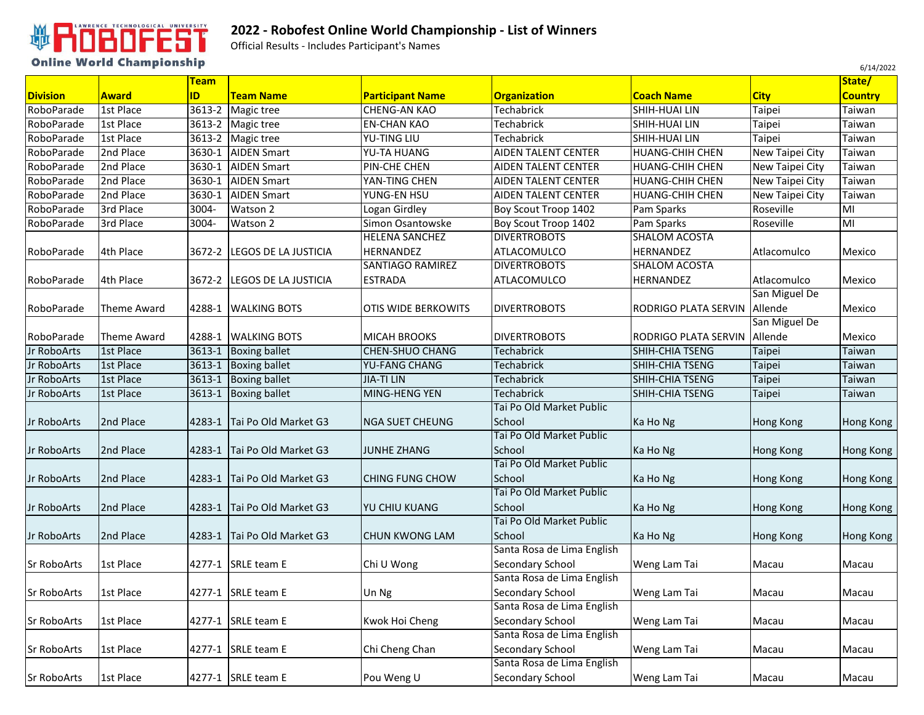## **DEDEEST Online World Championship**

#### **2022 - Robofest Online World Championship - List of Winners**

6/14/2022

Official Results - Includes Participant's Names

**Division Award Team ID Team Name Participant Name Organization Coach Name City State/ Country** RoboParade 1st Place 13613-2 Magic tree 1988 CHENG-AN KAO Techabrick 1988 SHIH-HUAI LIN Taipei 1988 Taiwan RoboParade 1st Place 5613-2 Magic tree Tel EN-CHAN KAO Techabrick SHIH-HUAI LIN Taipei Taiwan RoboParade 1st Place 3613-2 Magic tree YU-TING LIU Techabrick SHIH-HUAI LIN Taipei Taiwan RoboParade 2nd Place 3630-1 AIDEN Smart YU-TA HUANG AIDEN TALENT CENTER HUANG-CHIH CHEN New Taipei City Taiwan RoboParade 2nd Place 3630-1 AIDEN Smart PIN-CHE CHEN AIDEN TALENT CENTER HUANG-CHIH CHEN New Taipei City Taiwan RoboParade 2nd Place 3630-1 AIDEN Smart YAN-TING CHEN AIDEN TALENT CENTER HUANG-CHIH CHEN New Taipei City Taiwan RoboParade 2nd Place 3630-1 AIDEN Smart YUNG-EN HSU AIDEN TALENT CENTER HUANG-CHIH CHEN New Taipei City Taiwan RoboParade 3rd Place 3004- Watson 2 Logan Girdley Boy Scout Troop 1402 Pam Sparks Roseville MI RoboParade 3rd Place 3004- Watson 2 Simon Osantowske Boy Scout Troop 1402 Pam Sparks Roseville MI RoboParade 4th Place 3672-2 LEGOS DE LA JUSTICIA HELENA SANCHEZ **HERNANDEZ DIVERTROBOTS** ATLACOMULCO SHALOM ACOSTA HERNANDEZ **Atlacomulco** Mexico RoboParade 4th Place 3672-2 LEGOS DE LA JUSTICIA SANTIAGO RAMIREZ ESTRADA **DIVERTROBOTS** ATLACOMULCO SHALOM ACOSTA HERNANDEZ **Atlacomulco** Mexico RoboParade Theme Award 14288-1 WALKING BOTS 10TIS WIDE BERKOWITS DIVERTROBOTS 1999 RODRIGO PLATA SERVIN San Miguel De Allende Mexico RoboParade Theme Award (14288-1 IWALKING BOTS MICAH BROOKS DIVERTROBOTS RODRIGO PLATA SERVIN San Miguel De Allende Mexico Jr RoboArts |1st Place |3613-1 Boxing ballet |CHEN-SHUO CHANG |Techabrick |SHIH-CHIA TSENG |Taipei | Taiwan Jr RoboArts |1st Place |3613-1 Boxing ballet |YU-FANG CHANG |Techabrick |SHIH-CHIA TSENG |Taipei | Taiwan Jr RoboArts 1st Place 3613-1 Boxing ballet JIA-TI LIN Techabrick SHIH-CHIA TSENG Taipei Taiwan Jr RoboArts |1st Place |3613-1 Boxing ballet MING-HENG YEN |Techabrick | SHIH-CHIA TSENG |Taipei | Taiwan Jr RoboArts 2nd Place 4283-1 Tai Po Old Market G3 NGA SUET CHEUNG Tai Po Old Market Public School Ka Ho Ng Hong Kong Hong Kong Hong Kong Jr RoboArts 2nd Place 4283-1 Tai Po Old Market G3 JUNHE ZHANG Tai Po Old Market Public School Ka Ho Ng Hong Kong Hong Kong Hong Kong Jr RoboArts 2nd Place 4283-1 Tai Po Old Market G3 CHING FUNG CHOW Tai Po Old Market Public School Ka Ho Ng Hong Kong Hong Kong Hong Kong Jr RoboArts 2nd Place 4283-1 Tai Po Old Market G3 YU CHIU KUANG Tai Po Old Market Public School Ka Ho Ng Hong Kong Hong Kong Jr RoboArts 2nd Place 4283-1 Tai Po Old Market G3 CHUN KWONG LAM Tai Po Old Market Public School Ka Ho Ng Hong Kong Hong Kong Sr RoboArts | 1st Place | 4277-1 | SRLE team E Chi U Wong Santa Rosa de Lima English Secondary School **Weng Lam Tai** Macau Macau Sr RoboArts | 1st Place | 4277-1 | SRLE team E | Un Ng Santa Rosa de Lima English Secondary School **Weng Lam Tai** Macau Macau Sr RoboArts | 1st Place | 4277-1 | SRLE team E Kwok Hoi Cheng Santa Rosa de Lima English Secondary School **Weng Lam Tai** Macau Macau Sr RoboArts 1st Place 14277-1 SRLE team E Chi Cheng Chan Santa Rosa de Lima English Secondary School **Weng Lam Tai** Macau Macau Sr RoboArts | 1st Place | 4277-1 | SRLE team E | Pou Weng U Santa Rosa de Lima English Secondary School Weng Lam Tai Macau Macau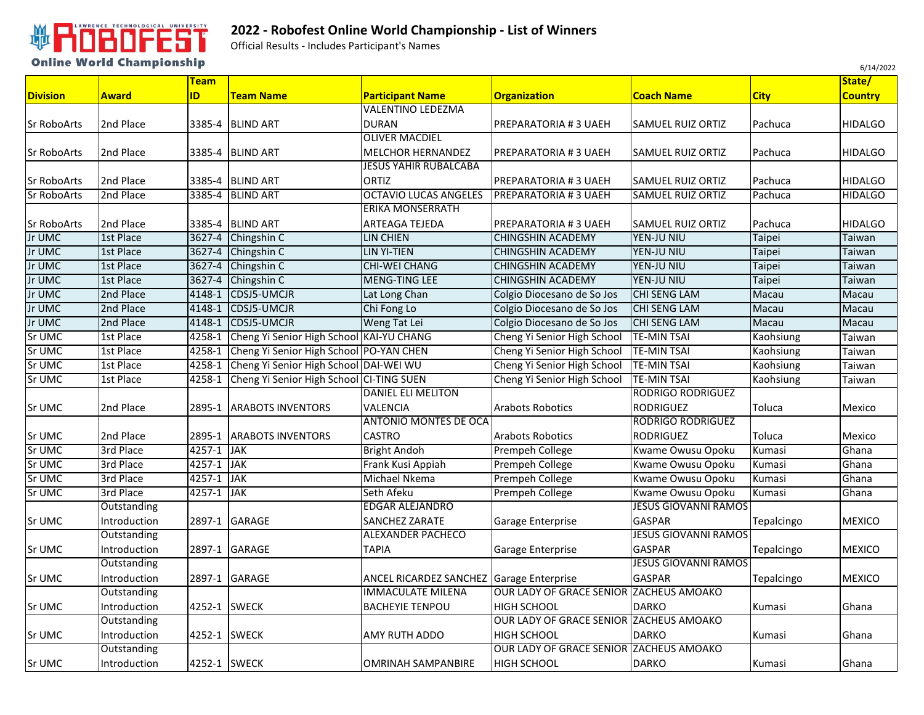# **徐昌日日日日三日 Online World Championship**

### **2022 - Robofest Online World Championship - List of Winners**

|                 | <b>Online World Championship</b> |              |                                          |                                          |                                                |                             |             | 6/14/2022      |
|-----------------|----------------------------------|--------------|------------------------------------------|------------------------------------------|------------------------------------------------|-----------------------------|-------------|----------------|
|                 |                                  | <b>Team</b>  |                                          |                                          |                                                |                             |             | State/         |
| <b>Division</b> | <b>Award</b>                     | ID           | Team Name                                | <b>Participant Name</b>                  | <b>Organization</b>                            | <b>Coach Name</b>           | <b>City</b> | <b>Country</b> |
|                 |                                  |              |                                          | VALENTINO LEDEZMA                        |                                                |                             |             |                |
| Sr RoboArts     | 2nd Place                        | 3385-4       | <b>BLIND ART</b>                         | <b>DURAN</b>                             | PREPARATORIA #3 UAEH                           | SAMUEL RUIZ ORTIZ           | Pachuca     | <b>HIDALGO</b> |
|                 |                                  |              |                                          | <b>OLIVER MACDIEL</b>                    |                                                |                             |             |                |
| Sr RoboArts     | 2nd Place                        | 3385-4       | <b>BLIND ART</b>                         | <b>MELCHOR HERNANDEZ</b>                 | PREPARATORIA #3 UAEH                           | SAMUEL RUIZ ORTIZ           | Pachuca     | <b>HIDALGO</b> |
|                 |                                  |              |                                          | <b>JESUS YAHIR RUBALCABA</b>             |                                                |                             |             |                |
| Sr RoboArts     | 2nd Place                        | 3385-4       | <b>BLIND ART</b>                         | <b>ORTIZ</b>                             | PREPARATORIA #3 UAEH                           | SAMUEL RUIZ ORTIZ           | Pachuca     | <b>HIDALGO</b> |
| Sr RoboArts     | 2nd Place                        | 3385-4       | <b>BLIND ART</b>                         | <b>OCTAVIO LUCAS ANGELES</b>             | PREPARATORIA #3 UAEH                           | SAMUEL RUIZ ORTIZ           | Pachuca     | <b>HIDALGO</b> |
|                 |                                  |              |                                          | <b>ERIKA MONSERRATH</b>                  |                                                |                             |             |                |
| Sr RoboArts     | 2nd Place                        | 3385-4       | <b>BLIND ART</b>                         | ARTEAGA TEJEDA                           | PREPARATORIA #3 UAEH                           | SAMUEL RUIZ ORTIZ           | Pachuca     | <b>HIDALGO</b> |
| Jr UMC          | 1st Place                        | $3627 - 4$   | Chingshin C                              | <b>LIN CHIEN</b>                         | <b>CHINGSHIN ACADEMY</b>                       | YEN-JU NIU                  | Taipei      | Taiwan         |
| Jr UMC          | 1st Place                        | 3627-4       | Chingshin C                              | LIN YI-TIEN                              | <b>CHINGSHIN ACADEMY</b>                       | YEN-JU NIU                  | Taipei      | Taiwan         |
| Jr UMC          | 1st Place                        | 3627-4       | Chingshin C                              | <b>CHI-WEI CHANG</b>                     | <b>CHINGSHIN ACADEMY</b>                       | YEN-JU NIU                  | Taipei      | Taiwan         |
| Jr UMC          | 1st Place                        | 3627-4       | Chingshin C                              | MENG-TING LEE                            | <b>CHINGSHIN ACADEMY</b>                       | YEN-JU NIU                  | Taipei      | Taiwan         |
| Jr UMC          | 2nd Place                        | 4148-1       | CDSJ5-UMCJR                              | Lat Long Chan                            | Colgio Diocesano de So Jos                     | CHI SENG LAM                | Macau       | Macau          |
| Jr UMC          | 2nd Place                        | 4148-1       | CDSJ5-UMCJR                              | Chi Fong Lo                              | Colgio Diocesano de So Jos                     | CHI SENG LAM                | Macau       | Macau          |
| Jr UMC          | 2nd Place                        | 4148-1       | CDSJ5-UMCJR                              | Weng Tat Lei                             | Colgio Diocesano de So Jos                     | CHI SENG LAM                | Macau       | Macau          |
| Sr UMC          | 1st Place                        | 4258-1       | Cheng Yi Senior High School              | <b>KAI-YU CHANG</b>                      | Cheng Yi Senior High School                    | <b>TE-MIN TSAI</b>          | Kaohsiung   | Taiwan         |
| Sr UMC          | 1st Place                        | 4258-1       | Cheng Yi Senior High School PO-YAN CHEN  |                                          | Cheng Yi Senior High School                    | <b>TE-MIN TSAI</b>          | Kaohsiung   | Taiwan         |
| Sr UMC          | 1st Place                        | 4258-1       | Cheng Yi Senior High School              | <b>DAI-WEI WU</b>                        | Cheng Yi Senior High School                    | <b>TE-MIN TSAI</b>          | Kaohsiung   | Taiwan         |
| Sr UMC          | 1st Place                        | 4258-1       | Cheng Yi Senior High School CI-TING SUEN |                                          | Cheng Yi Senior High School                    | <b>TE-MIN TSAI</b>          | Kaohsiung   | Taiwan         |
|                 |                                  |              |                                          | <b>DANIEL ELI MELITON</b>                |                                                | <b>RODRIGO RODRIGUEZ</b>    |             |                |
| Sr UMC          | 2nd Place                        | 2895-1       | <b>ARABOTS INVENTORS</b>                 | <b>VALENCIA</b>                          | <b>Arabots Robotics</b>                        | <b>RODRIGUEZ</b>            | Toluca      | Mexico         |
|                 |                                  |              |                                          | <b>ANTONIO MONTES DE OCA</b>             |                                                | <b>RODRIGO RODRIGUEZ</b>    |             |                |
| Sr UMC          | 2nd Place                        | 2895-1       | <b>ARABOTS INVENTORS</b>                 | <b>CASTRO</b>                            | <b>Arabots Robotics</b>                        | <b>RODRIGUEZ</b>            | Toluca      | Mexico         |
| Sr UMC          | 3rd Place                        | 4257-1 JAK   |                                          | <b>Bright Andoh</b>                      | <b>Prempeh College</b>                         | Kwame Owusu Opoku           | Kumasi      | Ghana          |
| Sr UMC          | 3rd Place                        | $4257 - 1$   | <b>JAK</b>                               | Frank Kusi Appiah                        | Prempeh College                                | Kwame Owusu Opoku           | Kumasi      | Ghana          |
| Sr UMC          | 3rd Place                        | $4257 - 1$   | <b>JAK</b>                               | Michael Nkema                            | <b>Prempeh College</b>                         | Kwame Owusu Opoku           | Kumasi      | Ghana          |
| Sr UMC          | 3rd Place                        | $4257 - 1$   | <b>JAK</b>                               | Seth Afeku                               | <b>Prempeh College</b>                         | Kwame Owusu Opoku           | Kumasi      | Ghana          |
|                 | Outstanding                      |              |                                          | <b>EDGAR ALEJANDRO</b>                   |                                                | <b>JESUS GIOVANNI RAMOS</b> |             |                |
| Sr UMC          | Introduction                     |              | 2897-1 GARAGE                            | SANCHEZ ZARATE                           | Garage Enterprise                              | <b>GASPAR</b>               | Tepalcingo  | <b>MEXICO</b>  |
|                 | Outstanding                      |              |                                          | ALEXANDER PACHECO                        |                                                | <b>JESUS GIOVANNI RAMOS</b> |             |                |
| Sr UMC          | Introduction                     |              | 2897-1 GARAGE                            | <b>TAPIA</b>                             | Garage Enterprise                              | <b>GASPAR</b>               | Tepalcingo  | <b>MEXICO</b>  |
|                 | Outstanding                      |              |                                          |                                          |                                                | <b>JESUS GIOVANNI RAMOS</b> |             |                |
| Sr UMC          | Introduction                     |              | 2897-1 GARAGE                            | ANCEL RICARDEZ SANCHEZ Garage Enterprise |                                                | <b>GASPAR</b>               | Tepalcingo  | <b>MEXICO</b>  |
|                 | Outstanding                      |              |                                          | <b>IMMACULATE MILENA</b>                 | OUR LADY OF GRACE SENIOR ZACHEUS AMOAKO        |                             |             |                |
| Sr UMC          | Introduction                     | 4252-1 SWECK |                                          | <b>BACHEYIE TENPOU</b>                   | HIGH SCHOOL                                    | <b>DARKO</b>                | Kumasi      | Ghana          |
|                 | Outstanding                      |              |                                          |                                          | <b>OUR LADY OF GRACE SENIOR ZACHEUS AMOAKO</b> |                             |             |                |
| Sr UMC          | Introduction                     | 4252-1 SWECK |                                          | AMY RUTH ADDO                            | HIGH SCHOOL                                    | <b>DARKO</b>                | Kumasi      | Ghana          |
|                 | Outstanding                      |              |                                          |                                          | <b>OUR LADY OF GRACE SENIOR</b>                | <b>ZACHEUS AMOAKO</b>       |             |                |
| Sr UMC          | Introduction                     | 4252-1 SWECK |                                          | <b>OMRINAH SAMPANBIRE</b>                | <b>HIGH SCHOOL</b>                             | <b>DARKO</b>                | Kumasi      | Ghana          |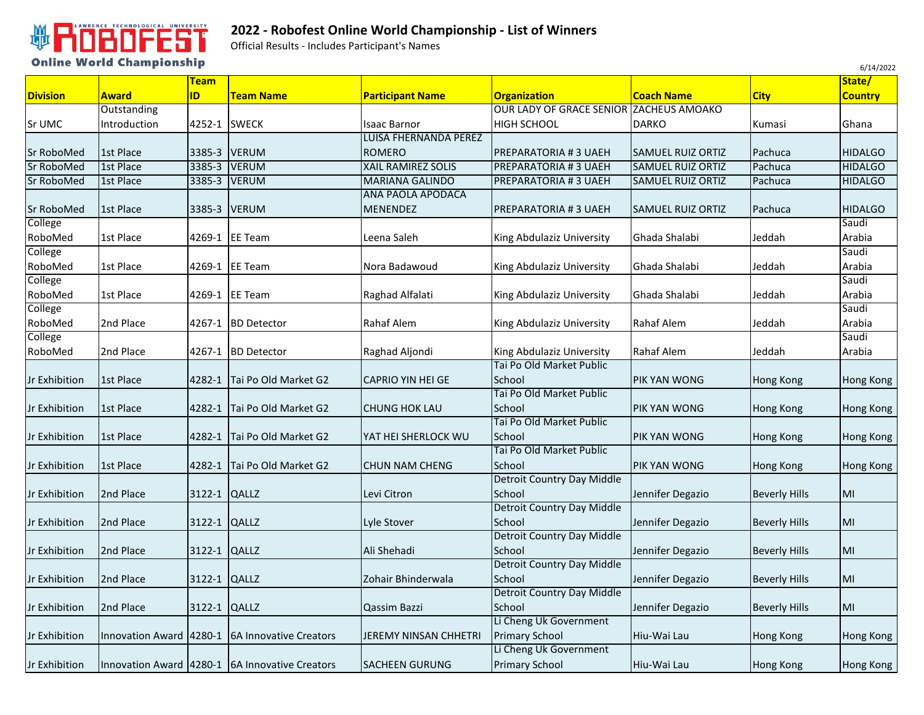

 $6/14/2022$ 

|                       |                         |                          |                                                |                          |                                         |                          |                      | 0/14/2022                |
|-----------------------|-------------------------|--------------------------|------------------------------------------------|--------------------------|-----------------------------------------|--------------------------|----------------------|--------------------------|
| <b>Division</b>       | <b>Award</b>            | <b>Team</b><br><b>ID</b> | Team Name                                      | <b>Participant Name</b>  | <b>Organization</b>                     | <b>Coach Name</b>        | <b>City</b>          | State/<br><b>Country</b> |
|                       | Outstanding             |                          |                                                |                          | OUR LADY OF GRACE SENIOR ZACHEUS AMOAKO |                          |                      |                          |
| Sr UMC                | Introduction            | 4252-1 SWECK             |                                                | <b>Isaac Barnor</b>      | <b>HIGH SCHOOL</b>                      | <b>DARKO</b>             | Kumasi               | Ghana                    |
|                       |                         |                          |                                                | LUISA FHERNANDA PEREZ    |                                         |                          |                      |                          |
| Sr RoboMed            | 1st Place               |                          | 3385-3 VERUM                                   | <b>ROMERO</b>            | <b>PREPARATORIA #3 UAEH</b>             | <b>SAMUEL RUIZ ORTIZ</b> | Pachuca              | <b>HIDALGO</b>           |
| Sr RoboMed            | 1st Place               | 3385-3                   | <b>VERUM</b>                                   | XAIL RAMIREZ SOLIS       | PREPARATORIA # 3 UAEH                   | <b>SAMUEL RUIZ ORTIZ</b> | Pachuca              | <b>HIDALGO</b>           |
| Sr RoboMed            | 1st Place               | 3385-3                   | <b>VERUM</b>                                   | <b>MARIANA GALINDO</b>   | <b>PREPARATORIA #3 UAEH</b>             | <b>SAMUEL RUIZ ORTIZ</b> | Pachuca              | <b>HIDALGO</b>           |
|                       |                         |                          |                                                | ANA PAOLA APODACA        |                                         |                          |                      |                          |
|                       |                         |                          | 3385-3 VERUM                                   |                          |                                         |                          |                      | <b>HIDALGO</b>           |
| Sr RoboMed<br>College | 1st Place               |                          |                                                | <b>MENENDEZ</b>          | <b>PREPARATORIA #3 UAEH</b>             | <b>SAMUEL RUIZ ORTIZ</b> | Pachuca              | Saudi                    |
|                       |                         |                          |                                                |                          |                                         |                          |                      |                          |
| RoboMed               | 1st Place               | 4269-1                   | <b>EE</b> Team                                 | Leena Saleh              | King Abdulaziz University               | Ghada Shalabi            | Jeddah               | Arabia<br>Saudi          |
| College               |                         |                          |                                                |                          |                                         |                          |                      |                          |
| RoboMed               | 1st Place               | 4269-1                   | <b>EE</b> Team                                 | Nora Badawoud            | King Abdulaziz University               | Ghada Shalabi            | Jeddah               | Arabia                   |
| College               |                         |                          |                                                |                          |                                         |                          |                      | Saudi                    |
| RoboMed               | 1st Place               | 4269-1                   | <b>EE</b> Team                                 | Raghad Alfalati          | King Abdulaziz University               | Ghada Shalabi            | Jeddah               | Arabia                   |
| College               |                         |                          |                                                |                          |                                         |                          |                      | Saudi                    |
| RoboMed               | 2nd Place               |                          | 4267-1 BD Detector                             | <b>Rahaf Alem</b>        | King Abdulaziz University               | Rahaf Alem               | Jeddah               | Arabia                   |
| College               |                         |                          |                                                |                          |                                         |                          |                      | Saudi                    |
| RoboMed               | 2nd Place               | 4267-1                   | <b>BD Detector</b>                             | Raghad Aljondi           | King Abdulaziz University               | Rahaf Alem               | Jeddah               | Arabia                   |
|                       |                         |                          |                                                |                          | Tai Po Old Market Public                |                          |                      |                          |
| Jr Exhibition         | 1st Place               | 4282-1                   | Tai Po Old Market G2                           | <b>CAPRIO YIN HEI GE</b> | School                                  | <b>PIK YAN WONG</b>      | <b>Hong Kong</b>     | Hong Kong                |
|                       |                         |                          |                                                |                          | Tai Po Old Market Public                |                          |                      |                          |
| Jr Exhibition         | 1st Place               | 4282-1                   | Tai Po Old Market G2                           | <b>CHUNG HOK LAU</b>     | School                                  | <b>PIK YAN WONG</b>      | <b>Hong Kong</b>     | Hong Kong                |
|                       |                         |                          |                                                |                          | Tai Po Old Market Public                |                          |                      |                          |
| Jr Exhibition         | 1st Place               | 4282-1                   | Tai Po Old Market G2                           | YAT HEI SHERLOCK WU      | School                                  | PIK YAN WONG             | <b>Hong Kong</b>     | Hong Kong                |
|                       |                         |                          |                                                |                          | Tai Po Old Market Public                |                          |                      |                          |
| Jr Exhibition         | 1st Place               | 4282-1                   | Tai Po Old Market G2                           | CHUN NAM CHENG           | School                                  | PIK YAN WONG             | <b>Hong Kong</b>     | Hong Kong                |
|                       |                         |                          |                                                |                          | Detroit Country Day Middle              |                          |                      |                          |
| Jr Exhibition         | 2nd Place               | 3122-1                   | QALLZ                                          | Levi Citron              | School                                  | Jennifer Degazio         | <b>Beverly Hills</b> | MI                       |
|                       |                         |                          |                                                |                          | Detroit Country Day Middle              |                          |                      |                          |
| Jr Exhibition         | 2nd Place               | 3122-1                   | QALLZ                                          | Lyle Stover              | School                                  | Jennifer Degazio         | <b>Beverly Hills</b> | MI                       |
|                       |                         |                          |                                                |                          | <b>Detroit Country Day Middle</b>       |                          |                      |                          |
| Jr Exhibition         | 2nd Place               | 3122-1                   | QALLZ                                          | Ali Shehadi              | School                                  | Jennifer Degazio         | <b>Beverly Hills</b> | MI                       |
|                       |                         |                          |                                                |                          | Detroit Country Day Middle              |                          |                      |                          |
| Jr Exhibition         | 2nd Place               | 3122-1 QALLZ             |                                                | Zohair Bhinderwala       | School                                  | Jennifer Degazio         | <b>Beverly Hills</b> | MI                       |
|                       |                         |                          |                                                |                          | <b>Detroit Country Day Middle</b>       |                          |                      |                          |
| Jr Exhibition         | 2nd Place               | 3122-1                   | QALLZ                                          | Qassim Bazzi             | School                                  | Jennifer Degazio         | <b>Beverly Hills</b> | MI                       |
|                       |                         |                          |                                                |                          | Li Cheng Uk Government                  |                          |                      |                          |
| Jr Exhibition         | Innovation Award 4280-1 |                          | <b>6A Innovative Creators</b>                  | JEREMY NINSAN CHHETRI    | <b>Primary School</b>                   | Hiu-Wai Lau              | <b>Hong Kong</b>     | Hong Kong                |
|                       |                         |                          |                                                |                          | Li Cheng Uk Government                  |                          |                      |                          |
| Jr Exhibition         |                         |                          | Innovation Award 4280-1 6A Innovative Creators | <b>SACHEEN GURUNG</b>    | <b>Primary School</b>                   | Hiu-Wai Lau              | <b>Hong Kong</b>     | Hong Kong                |
|                       |                         |                          |                                                |                          |                                         |                          |                      |                          |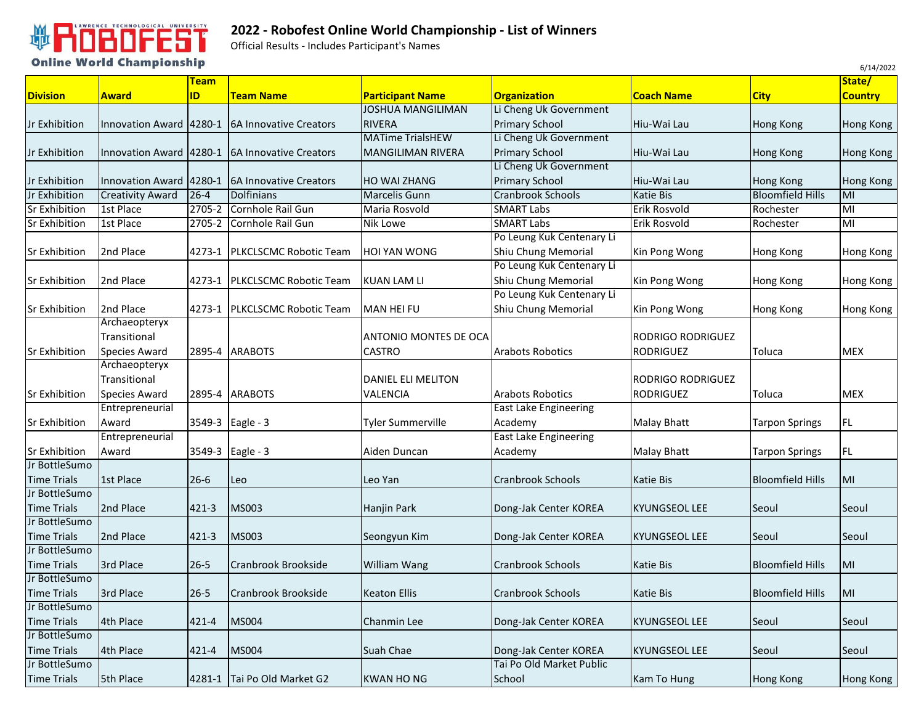

|                      | <b>Unline World Championship</b> |           |                               |                           |                              |                          |                         | 6/14/2022               |
|----------------------|----------------------------------|-----------|-------------------------------|---------------------------|------------------------------|--------------------------|-------------------------|-------------------------|
|                      |                                  | Team      |                               |                           |                              |                          |                         | State/                  |
| <b>Division</b>      | <b>Award</b>                     | ID        | <b>Team Name</b>              | <b>Participant Name</b>   | <b>Organization</b>          | <b>Coach Name</b>        | <b>City</b>             | <b>Country</b>          |
|                      |                                  |           |                               | <b>JOSHUA MANGILIMAN</b>  | Li Cheng Uk Government       |                          |                         |                         |
| Jr Exhibition        | Innovation Award 4280-1          |           | <b>6A Innovative Creators</b> | <b>RIVERA</b>             | <b>Primary School</b>        | Hiu-Wai Lau              | <b>Hong Kong</b>        | <b>Hong Kong</b>        |
|                      |                                  |           |                               | <b>MATime TrialsHEW</b>   | Li Cheng Uk Government       |                          |                         |                         |
| Jr Exhibition        | Innovation Award 4280-1          |           | <b>6A Innovative Creators</b> | <b>MANGILIMAN RIVERA</b>  | <b>Primary School</b>        | Hiu-Wai Lau              | <b>Hong Kong</b>        | Hong Kong               |
|                      |                                  |           |                               |                           | Li Cheng Uk Government       |                          |                         |                         |
| Jr Exhibition        | Innovation Award 4280-1          |           | <b>6A Innovative Creators</b> | <b>HO WAI ZHANG</b>       | <b>Primary School</b>        | Hiu-Wai Lau              | <b>Hong Kong</b>        | <b>Hong Kong</b>        |
| Jr Exhibition        | <b>Creativity Award</b>          | $26 - 4$  | <b>Dolfinians</b>             | Marcelis Gunn             | <b>Cranbrook Schools</b>     | <b>Katie Bis</b>         | <b>Bloomfield Hills</b> | MI                      |
| <b>Sr Exhibition</b> | 1st Place                        | 2705-2    | Cornhole Rail Gun             | Maria Rosvold             | <b>SMART Labs</b>            | Erik Rosvold             | Rochester               | $\overline{\mathsf{M}}$ |
| <b>Sr Exhibition</b> | 1st Place                        | 2705-2    | Cornhole Rail Gun             | Nik Lowe                  | <b>SMART Labs</b>            | Erik Rosvold             | Rochester               | MI                      |
|                      |                                  |           |                               |                           | Po Leung Kuk Centenary Li    |                          |                         |                         |
| <b>Sr Exhibition</b> | 2nd Place                        | 4273-1    | <b>PLKCLSCMC Robotic Team</b> | <b>HOI YAN WONG</b>       | Shiu Chung Memorial          | Kin Pong Wong            | Hong Kong               | Hong Kong               |
|                      |                                  |           |                               |                           | Po Leung Kuk Centenary Li    |                          |                         |                         |
| <b>Sr Exhibition</b> | 2nd Place                        |           | 4273-1 PLKCLSCMC Robotic Team | <b>KUAN LAM LI</b>        | Shiu Chung Memorial          | Kin Pong Wong            | Hong Kong               | Hong Kong               |
|                      |                                  |           |                               |                           | Po Leung Kuk Centenary Li    |                          |                         |                         |
| <b>Sr Exhibition</b> | 2nd Place                        |           | 4273-1 PLKCLSCMC Robotic Team | <b>MAN HEI FU</b>         | Shiu Chung Memorial          | Kin Pong Wong            | Hong Kong               | Hong Kong               |
|                      | Archaeopteryx                    |           |                               |                           |                              |                          |                         |                         |
|                      | Transitional                     |           |                               | ANTONIO MONTES DE OCA     |                              | <b>RODRIGO RODRIGUEZ</b> |                         |                         |
| <b>Sr Exhibition</b> | <b>Species Award</b>             |           | 2895-4 ARABOTS                | <b>CASTRO</b>             | <b>Arabots Robotics</b>      | <b>RODRIGUEZ</b>         | Toluca                  | <b>MEX</b>              |
|                      | Archaeopteryx                    |           |                               |                           |                              |                          |                         |                         |
|                      | Transitional                     |           |                               | <b>DANIEL ELI MELITON</b> |                              | <b>RODRIGO RODRIGUEZ</b> |                         |                         |
| <b>Sr Exhibition</b> | <b>Species Award</b>             |           | 2895-4 ARABOTS                | <b>VALENCIA</b>           | <b>Arabots Robotics</b>      | <b>RODRIGUEZ</b>         | Toluca                  | <b>MEX</b>              |
|                      | Entrepreneurial                  |           |                               |                           | <b>East Lake Engineering</b> |                          |                         |                         |
| <b>Sr Exhibition</b> | Award                            |           | 3549-3 Eagle - 3              | <b>Tyler Summerville</b>  | Academy                      | <b>Malay Bhatt</b>       | Tarpon Springs          | FL                      |
|                      | Entrepreneurial                  |           |                               |                           | <b>East Lake Engineering</b> |                          |                         |                         |
| <b>Sr Exhibition</b> | Award                            |           | 3549-3 Eagle - 3              | Aiden Duncan              | Academy                      | <b>Malay Bhatt</b>       | <b>Tarpon Springs</b>   | FL                      |
| Jr BottleSumo        |                                  |           |                               |                           |                              |                          |                         |                         |
| <b>Time Trials</b>   | 1st Place                        | $26 - 6$  | Leo                           | Leo Yan                   | <b>Cranbrook Schools</b>     | <b>Katie Bis</b>         | <b>Bloomfield Hills</b> | MI                      |
| Jr BottleSumo        |                                  |           |                               |                           |                              |                          |                         |                         |
| <b>Time Trials</b>   | 2nd Place                        | 421-3     | MS003                         | Hanjin Park               | Dong-Jak Center KOREA        | <b>KYUNGSEOL LEE</b>     | Seoul                   | Seoul                   |
| Jr BottleSumo        |                                  |           |                               |                           |                              |                          |                         |                         |
| <b>Time Trials</b>   | 2nd Place                        | $421 - 3$ | MS003                         | Seongyun Kim              | Dong-Jak Center KOREA        | <b>KYUNGSEOL LEE</b>     | Seoul                   | Seoul                   |
| Jr BottleSumo        |                                  |           |                               |                           |                              |                          |                         |                         |
| <b>Time Trials</b>   | 3rd Place                        | $26 - 5$  | Cranbrook Brookside           | <b>William Wang</b>       | <b>Cranbrook Schools</b>     | <b>Katie Bis</b>         | <b>Bloomfield Hills</b> | MI                      |
| Jr BottleSumo        |                                  |           |                               |                           |                              |                          |                         |                         |
| <b>Time Trials</b>   | 3rd Place                        | $26 - 5$  | Cranbrook Brookside           | <b>Keaton Ellis</b>       | <b>Cranbrook Schools</b>     | <b>Katie Bis</b>         | <b>Bloomfield Hills</b> | MI                      |
| Jr BottleSumo        |                                  |           |                               |                           |                              |                          |                         |                         |
| <b>Time Trials</b>   | 4th Place                        | 421-4     | <b>MS004</b>                  | Chanmin Lee               | Dong-Jak Center KOREA        | <b>KYUNGSEOL LEE</b>     | Seoul                   | Seoul                   |
| Jr BottleSumo        |                                  |           |                               |                           |                              |                          |                         |                         |
| <b>Time Trials</b>   | 4th Place                        | 421-4     | <b>MS004</b>                  | Suah Chae                 | Dong-Jak Center KOREA        | <b>KYUNGSEOL LEE</b>     | Seoul                   | Seoul                   |
| Jr BottleSumo        |                                  |           |                               |                           | Tai Po Old Market Public     |                          |                         |                         |
| <b>Time Trials</b>   | 5th Place                        |           | 4281-1 Tai Po Old Market G2   | <b>KWAN HONG</b>          | School                       | Kam To Hung              |                         |                         |
|                      |                                  |           |                               |                           |                              |                          | <b>Hong Kong</b>        | Hong Kong               |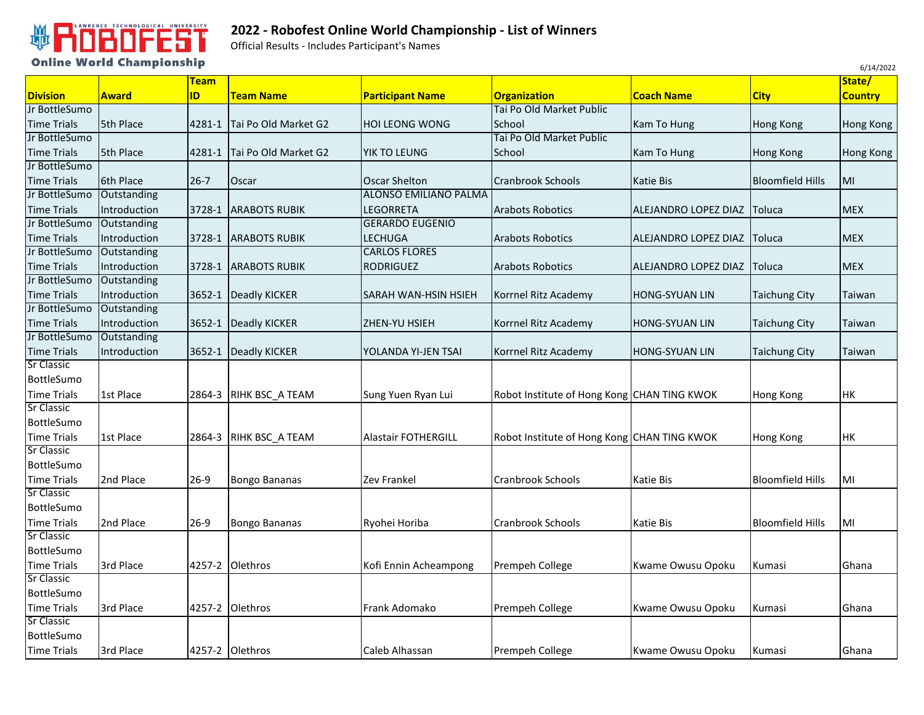

 $6/14/2022$ 

|                                     |              |          |                        |                              |                                                 |                       |                         | 0/14/2022      |
|-------------------------------------|--------------|----------|------------------------|------------------------------|-------------------------------------------------|-----------------------|-------------------------|----------------|
|                                     |              | Team     |                        |                              |                                                 |                       |                         | State/         |
| <b>Division</b>                     | <b>Award</b> | ID       | <b>Team Name</b>       | <b>Participant Name</b>      | <b>Organization</b><br>Tai Po Old Market Public | <b>Coach Name</b>     | <b>City</b>             | <b>Country</b> |
| Jr BottleSumo                       |              |          |                        |                              |                                                 |                       |                         |                |
| <b>Time Trials</b><br>Jr BottleSumo | 5th Place    | 4281-1   | Tai Po Old Market G2   | HOI LEONG WONG               | School<br>Tai Po Old Market Public              | Kam To Hung           | <b>Hong Kong</b>        | Hong Kong      |
|                                     |              |          |                        |                              |                                                 |                       |                         |                |
| <b>Time Trials</b>                  | 5th Place    | 4281-1   | Tai Po Old Market G2   | YIK TO LEUNG                 | School                                          | Kam To Hung           | <b>Hong Kong</b>        | Hong Kong      |
| Jr BottleSumo                       |              |          |                        |                              |                                                 |                       |                         |                |
| <b>Time Trials</b>                  | 6th Place    | $26 - 7$ | Oscar                  | <b>Oscar Shelton</b>         | <b>Cranbrook Schools</b>                        | Katie Bis             | <b>Bloomfield Hills</b> | MI             |
| Jr BottleSumo                       | Outstanding  |          |                        | <b>ALONSO EMILIANO PALMA</b> |                                                 |                       |                         |                |
| <b>Time Trials</b>                  | Introduction | 3728-1   | <b>ARABOTS RUBIK</b>   | LEGORRETA                    | <b>Arabots Robotics</b>                         | ALEJANDRO LOPEZ DIAZ  | Toluca                  | <b>MEX</b>     |
| Jr BottleSumo                       | Outstanding  |          |                        | <b>GERARDO EUGENIO</b>       |                                                 |                       |                         |                |
| <b>Time Trials</b>                  | Introduction | 3728-1   | <b>ARABOTS RUBIK</b>   | <b>LECHUGA</b>               | <b>Arabots Robotics</b>                         | ALEJANDRO LOPEZ DIAZ  | Toluca                  | <b>MEX</b>     |
| Jr BottleSumo                       | Outstanding  |          |                        | <b>CARLOS FLORES</b>         |                                                 |                       |                         |                |
| <b>Time Trials</b>                  | Introduction | 3728-1   | <b>ARABOTS RUBIK</b>   | <b>RODRIGUEZ</b>             | <b>Arabots Robotics</b>                         | ALEJANDRO LOPEZ DIAZ  | Toluca                  | <b>MEX</b>     |
| Jr BottleSumo                       | Outstanding  |          |                        |                              |                                                 |                       |                         |                |
| <b>Time Trials</b>                  | Introduction | 3652-1   | Deadly KICKER          | SARAH WAN-HSIN HSIEH         | Korrnel Ritz Academy                            | <b>HONG-SYUAN LIN</b> | Taichung City           | Taiwan         |
| Jr BottleSumo                       | Outstanding  |          |                        |                              |                                                 |                       |                         |                |
| <b>Time Trials</b>                  | Introduction |          | 3652-1 Deadly KICKER   | ZHEN-YU HSIEH                | Korrnel Ritz Academy                            | <b>HONG-SYUAN LIN</b> | <b>Taichung City</b>    | Taiwan         |
| Jr BottleSumo                       | Outstanding  |          |                        |                              |                                                 |                       |                         |                |
| <b>Time Trials</b>                  | Introduction | 3652-1   | Deadly KICKER          | YOLANDA YI-JEN TSAI          | Korrnel Ritz Academy                            | <b>HONG-SYUAN LIN</b> | <b>Taichung City</b>    | Taiwan         |
| <b>Sr Classic</b>                   |              |          |                        |                              |                                                 |                       |                         |                |
| BottleSumo                          |              |          |                        |                              |                                                 |                       |                         |                |
| <b>Time Trials</b>                  | 1st Place    |          | 2864-3 RIHK BSC A TEAM | Sung Yuen Ryan Lui           | Robot Institute of Hong Kong CHAN TING KWOK     |                       | Hong Kong               | HК             |
| <b>Sr Classic</b>                   |              |          |                        |                              |                                                 |                       |                         |                |
| BottleSumo                          |              |          |                        |                              |                                                 |                       |                         |                |
| <b>Time Trials</b>                  | 1st Place    |          | 2864-3 RIHK BSC_A TEAM | <b>Alastair FOTHERGILL</b>   | Robot Institute of Hong Kong CHAN TING KWOK     |                       | Hong Kong               | <b>HK</b>      |
| <b>Sr Classic</b>                   |              |          |                        |                              |                                                 |                       |                         |                |
| BottleSumo                          |              |          |                        |                              |                                                 |                       |                         |                |
| <b>Time Trials</b>                  | 2nd Place    | $26-9$   | <b>Bongo Bananas</b>   | Zev Frankel                  | <b>Cranbrook Schools</b>                        | Katie Bis             | <b>Bloomfield Hills</b> | MI             |
| <b>Sr Classic</b>                   |              |          |                        |                              |                                                 |                       |                         |                |
| BottleSumo                          |              |          |                        |                              |                                                 |                       |                         |                |
| <b>Time Trials</b>                  | 2nd Place    | $26-9$   | <b>Bongo Bananas</b>   | Ryohei Horiba                | <b>Cranbrook Schools</b>                        | <b>Katie Bis</b>      | <b>Bloomfield Hills</b> | MI             |
| <b>Sr Classic</b>                   |              |          |                        |                              |                                                 |                       |                         |                |
| BottleSumo                          |              |          |                        |                              |                                                 |                       |                         |                |
| <b>Time Trials</b>                  | 3rd Place    | 4257-2   | Olethros               | Kofi Ennin Acheampong        | Prempeh College                                 | Kwame Owusu Opoku     | Kumasi                  | Ghana          |
| <b>Sr Classic</b>                   |              |          |                        |                              |                                                 |                       |                         |                |
| BottleSumo                          |              |          |                        |                              |                                                 |                       |                         |                |
| <b>Time Trials</b>                  | 3rd Place    |          | 4257-2 Olethros        | Frank Adomako                | Prempeh College                                 | Kwame Owusu Opoku     | Kumasi                  | Ghana          |
| <b>Sr Classic</b>                   |              |          |                        |                              |                                                 |                       |                         |                |
| BottleSumo                          |              |          |                        |                              |                                                 |                       |                         |                |
| <b>Time Trials</b>                  | 3rd Place    |          | 4257-2 Olethros        | Caleb Alhassan               | Prempeh College                                 | Kwame Owusu Opoku     | Kumasi                  | Ghana          |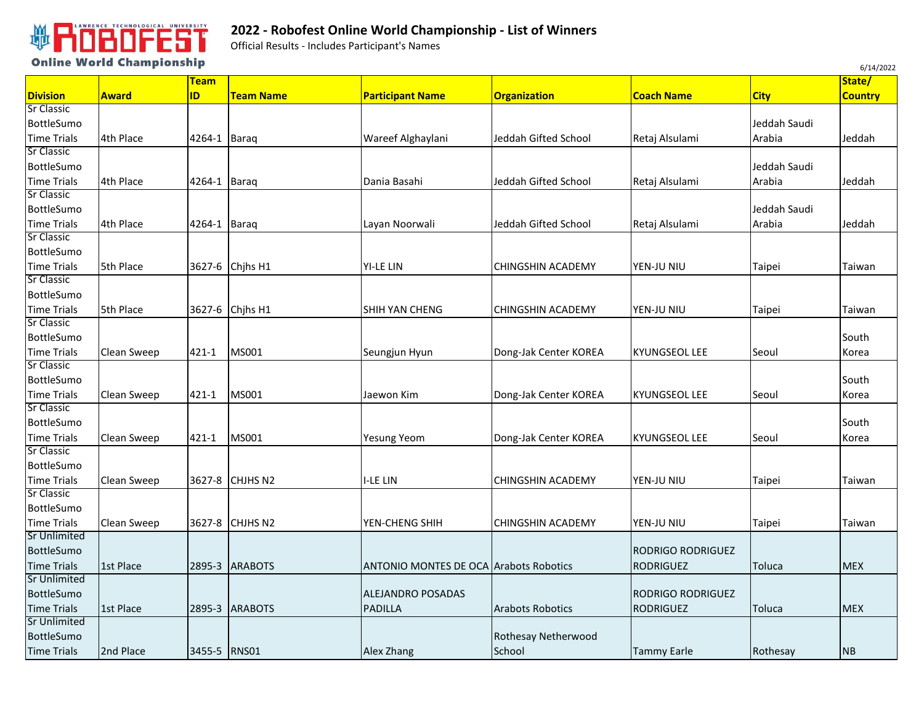

 $6/14/2022$ 

|                     |              |              |                 |                                               |                          | 0/14/2022            |              |                |
|---------------------|--------------|--------------|-----------------|-----------------------------------------------|--------------------------|----------------------|--------------|----------------|
|                     |              | <b>Team</b>  |                 |                                               |                          |                      |              | <b>State/</b>  |
| <b>Division</b>     | <b>Award</b> | ID           | Team Name       | <b>Participant Name</b>                       | <b>Organization</b>      | <b>Coach Name</b>    | <b>City</b>  | <b>Country</b> |
| <b>Sr</b> Classic   |              |              |                 |                                               |                          |                      |              |                |
| BottleSumo          |              |              |                 |                                               |                          |                      | Jeddah Saudi |                |
| <b>Time Trials</b>  | 4th Place    | 4264-1       | Baraq           | Wareef Alghaylani                             | Jeddah Gifted School     | Retaj Alsulami       | Arabia       | Jeddah         |
| <b>Sr Classic</b>   |              |              |                 |                                               |                          |                      |              |                |
| BottleSumo          |              |              |                 |                                               |                          |                      | Jeddah Saudi |                |
| <b>Time Trials</b>  | 4th Place    | 4264-1 Baraq |                 | Dania Basahi                                  | Jeddah Gifted School     | Retaj Alsulami       | Arabia       | Jeddah         |
| <b>Sr Classic</b>   |              |              |                 |                                               |                          |                      |              |                |
| BottleSumo          |              |              |                 |                                               |                          |                      | Jeddah Saudi |                |
| <b>Time Trials</b>  | 4th Place    | 4264-1 Baraq |                 | Layan Noorwali                                | Jeddah Gifted School     | Retaj Alsulami       | Arabia       | Jeddah         |
| <b>Sr Classic</b>   |              |              |                 |                                               |                          |                      |              |                |
| BottleSumo          |              |              |                 |                                               |                          |                      |              |                |
| <b>Time Trials</b>  | 5th Place    |              | 3627-6 Chihs H1 | yi-le lin                                     | <b>CHINGSHIN ACADEMY</b> | YEN-JU NIU           | Taipei       | Taiwan         |
| <b>Sr Classic</b>   |              |              |                 |                                               |                          |                      |              |                |
| BottleSumo          |              |              |                 |                                               |                          |                      |              |                |
| <b>Time Trials</b>  | 5th Place    |              | 3627-6 Chihs H1 | <b>SHIH YAN CHENG</b>                         | <b>CHINGSHIN ACADEMY</b> | YEN-JU NIU           | Taipei       | Taiwan         |
| <b>Sr Classic</b>   |              |              |                 |                                               |                          |                      |              |                |
| BottleSumo          |              |              |                 |                                               |                          |                      |              | South          |
| <b>Time Trials</b>  | Clean Sweep  | $421 - 1$    | <b>MS001</b>    | Seungjun Hyun                                 | Dong-Jak Center KOREA    | <b>KYUNGSEOL LEE</b> | Seoul        | Korea          |
| <b>Sr Classic</b>   |              |              |                 |                                               |                          |                      |              |                |
| BottleSumo          |              |              |                 |                                               |                          |                      |              | South          |
| <b>Time Trials</b>  | Clean Sweep  | 421-1        | <b>MS001</b>    | Jaewon Kim                                    | Dong-Jak Center KOREA    | <b>KYUNGSEOL LEE</b> | Seoul        | Korea          |
| <b>Sr Classic</b>   |              |              |                 |                                               |                          |                      |              |                |
| BottleSumo          |              |              |                 |                                               |                          |                      |              | South          |
| <b>Time Trials</b>  | Clean Sweep  | $421 - 1$    | MS001           | Yesung Yeom                                   | Dong-Jak Center KOREA    | <b>KYUNGSEOL LEE</b> | Seoul        | Korea          |
| <b>Sr Classic</b>   |              |              |                 |                                               |                          |                      |              |                |
| BottleSumo          |              |              |                 |                                               |                          |                      |              |                |
| <b>Time Trials</b>  | Clean Sweep  |              | 3627-8 CHJHS N2 | <b>I-LE LIN</b>                               | <b>CHINGSHIN ACADEMY</b> | YEN-JU NIU           | Taipei       | Taiwan         |
| <b>Sr Classic</b>   |              |              |                 |                                               |                          |                      |              |                |
| BottleSumo          |              |              |                 |                                               |                          |                      |              |                |
| <b>Time Trials</b>  | Clean Sweep  |              | 3627-8 CHJHS N2 | YEN-CHENG SHIH                                | <b>CHINGSHIN ACADEMY</b> | YEN-JU NIU           | Taipei       | Taiwan         |
| <b>Sr Unlimited</b> |              |              |                 |                                               |                          |                      |              |                |
| <b>BottleSumo</b>   |              |              |                 |                                               |                          | RODRIGO RODRIGUEZ    |              |                |
| <b>Time Trials</b>  | 1st Place    | 2895-3       | <b>ARABOTS</b>  | <b>ANTONIO MONTES DE OCA Arabots Robotics</b> |                          | <b>RODRIGUEZ</b>     | Toluca       | <b>MEX</b>     |
| <b>Sr Unlimited</b> |              |              |                 |                                               |                          |                      |              |                |
| BottleSumo          |              |              |                 | <b>ALEJANDRO POSADAS</b>                      |                          | RODRIGO RODRIGUEZ    |              |                |
| <b>Time Trials</b>  | 1st Place    |              | 2895-3 ARABOTS  | <b>PADILLA</b>                                | <b>Arabots Robotics</b>  | <b>RODRIGUEZ</b>     | Toluca       | <b>MEX</b>     |
| <b>Sr Unlimited</b> |              |              |                 |                                               |                          |                      |              |                |
| BottleSumo          |              |              |                 |                                               | Rothesay Netherwood      |                      |              |                |
| <b>Time Trials</b>  | 2nd Place    | 3455-5 RNS01 |                 | Alex Zhang                                    | School                   | <b>Tammy Earle</b>   | Rothesay     | <b>NB</b>      |
|                     |              |              |                 |                                               |                          |                      |              |                |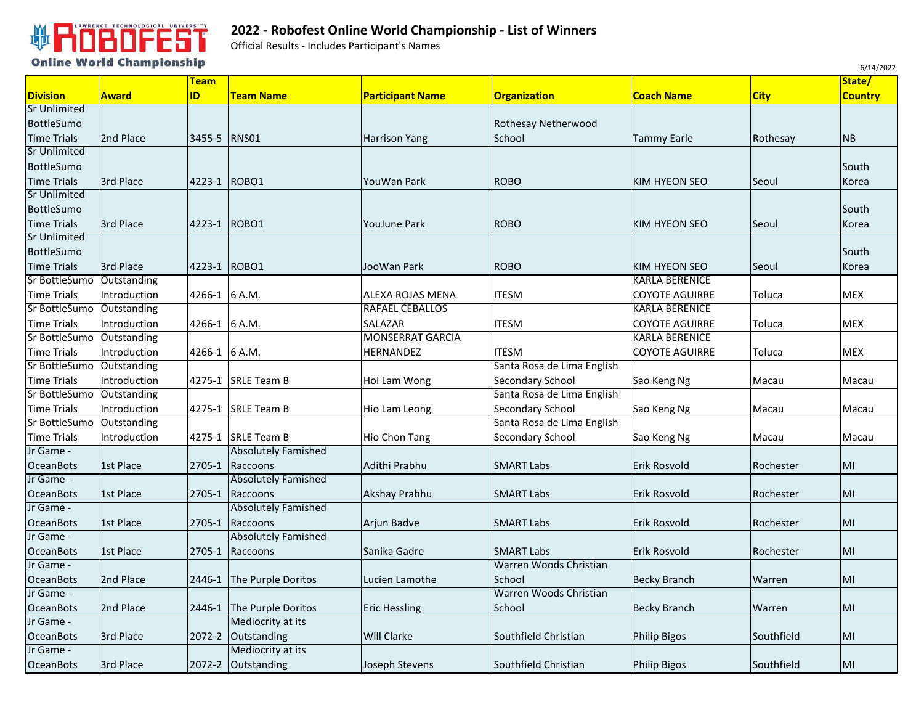

 $6/14/2022$ 

|                     |              |                   |                            |                         |                            |                       |             | 0/14/2022                |
|---------------------|--------------|-------------------|----------------------------|-------------------------|----------------------------|-----------------------|-------------|--------------------------|
| <b>Division</b>     | <b>Award</b> | <b>Team</b><br>ID | <b>Team Name</b>           | <b>Participant Name</b> | <b>Organization</b>        | <b>Coach Name</b>     | <b>City</b> | State/<br><b>Country</b> |
| <b>Sr Unlimited</b> |              |                   |                            |                         |                            |                       |             |                          |
| BottleSumo          |              |                   |                            |                         | Rothesay Netherwood        |                       |             |                          |
| <b>Time Trials</b>  | 2nd Place    | 3455-5 RNS01      |                            | <b>Harrison Yang</b>    | School                     | Tammy Earle           | Rothesay    | <b>NB</b>                |
| <b>Sr Unlimited</b> |              |                   |                            |                         |                            |                       |             |                          |
| BottleSumo          |              |                   |                            |                         |                            |                       |             | South                    |
| <b>Time Trials</b>  | 3rd Place    | 4223-1 ROBO1      |                            | YouWan Park             | <b>ROBO</b>                | <b>KIM HYEON SEO</b>  | Seoul       | Korea                    |
| <b>Sr Unlimited</b> |              |                   |                            |                         |                            |                       |             |                          |
| BottleSumo          |              |                   |                            |                         |                            |                       |             | South                    |
| <b>Time Trials</b>  | 3rd Place    | 4223-1 ROBO1      |                            | YouJune Park            | <b>ROBO</b>                | <b>KIM HYEON SEO</b>  | Seoul       | Korea                    |
| <b>Sr Unlimited</b> |              |                   |                            |                         |                            |                       |             |                          |
| BottleSumo          |              |                   |                            |                         |                            |                       |             | South                    |
| <b>Time Trials</b>  | 3rd Place    | 4223-1 ROBO1      |                            | JooWan Park             | <b>ROBO</b>                | <b>KIM HYEON SEO</b>  | Seoul       | Korea                    |
| Sr BottleSumo       | Outstanding  |                   |                            |                         |                            | <b>KARLA BERENICE</b> |             |                          |
| <b>Time Trials</b>  | Introduction | 4266-1 6 A.M.     |                            | ALEXA ROJAS MENA        | <b>ITESM</b>               | <b>COYOTE AGUIRRE</b> | Toluca      | <b>MEX</b>               |
| Sr BottleSumo       | Outstanding  |                   |                            | RAFAEL CEBALLOS         |                            | <b>KARLA BERENICE</b> |             |                          |
| <b>Time Trials</b>  | Introduction | 4266-1 6 A.M.     |                            | SALAZAR                 | <b>ITESM</b>               | <b>COYOTE AGUIRRE</b> | Toluca      | <b>MEX</b>               |
| Sr BottleSumo       | Outstanding  |                   |                            | MONSERRAT GARCIA        |                            | <b>KARLA BERENICE</b> |             |                          |
| <b>Time Trials</b>  | Introduction | 4266-1 6 A.M.     |                            | HERNANDEZ               | <b>ITESM</b>               | <b>COYOTE AGUIRRE</b> | Toluca      | <b>MEX</b>               |
| Sr BottleSumo       | Outstanding  |                   |                            |                         | Santa Rosa de Lima English |                       |             |                          |
| <b>Time Trials</b>  | Introduction | 4275-1            | <b>SRLE Team B</b>         | Hoi Lam Wong            | <b>Secondary School</b>    | Sao Keng Ng           | Macau       | Macau                    |
| Sr BottleSumo       | Outstanding  |                   |                            |                         | Santa Rosa de Lima English |                       |             |                          |
| <b>Time Trials</b>  | Introduction | 4275-1            | <b>SRLE Team B</b>         | Hio Lam Leong           | Secondary School           | Sao Keng Ng           | Macau       | Macau                    |
| Sr BottleSumo       | Outstanding  |                   |                            |                         | Santa Rosa de Lima English |                       |             |                          |
| <b>Time Trials</b>  | Introduction | 4275-1            | <b>SRLE Team B</b>         | Hio Chon Tang           | Secondary School           | Sao Keng Ng           | Macau       | Macau                    |
| Jr Game -           |              |                   | <b>Absolutely Famished</b> |                         |                            |                       |             |                          |
| <b>OceanBots</b>    | 1st Place    | 2705-1            | Raccoons                   | Adithi Prabhu           | <b>SMART Labs</b>          | Erik Rosvold          | Rochester   | MI                       |
| Jr Game -           |              |                   | <b>Absolutely Famished</b> |                         |                            |                       |             |                          |
| OceanBots           | 1st Place    | 2705-1            | Raccoons                   | Akshay Prabhu           | <b>SMART Labs</b>          | Erik Rosvold          | Rochester   | MI                       |
| Jr Game -           |              |                   | <b>Absolutely Famished</b> |                         |                            |                       |             |                          |
| OceanBots           | 1st Place    | 2705-1            | Raccoons                   | Arjun Badve             | <b>SMART Labs</b>          | Erik Rosvold          | Rochester   | MI                       |
| Jr Game -           |              |                   | <b>Absolutely Famished</b> |                         |                            |                       |             |                          |
| OceanBots           | 1st Place    | 2705-1            | Raccoons                   | Sanika Gadre            | <b>SMART Labs</b>          | Erik Rosvold          | Rochester   | MI                       |
| Jr Game -           |              |                   |                            |                         | Warren Woods Christian     |                       |             |                          |
| <b>OceanBots</b>    | 2nd Place    | 2446-1            | The Purple Doritos         | Lucien Lamothe          | School                     | <b>Becky Branch</b>   | Warren      | MI                       |
| Jr Game -           |              |                   |                            |                         | Warren Woods Christian     |                       |             |                          |
| OceanBots           | 2nd Place    |                   | 2446-1 The Purple Doritos  | <b>Eric Hessling</b>    | School                     | <b>Becky Branch</b>   | Warren      | MI                       |
| Jr Game -           |              |                   | Mediocrity at its          |                         |                            |                       |             |                          |
| <b>OceanBots</b>    | 3rd Place    |                   | 2072-2 Outstanding         | Will Clarke             | Southfield Christian       | <b>Philip Bigos</b>   | Southfield  | MI                       |
| Jr Game -           |              |                   | Mediocrity at its          |                         |                            |                       |             |                          |
| OceanBots           | 3rd Place    |                   | 2072-2 Outstanding         | Joseph Stevens          | Southfield Christian       | <b>Philip Bigos</b>   | Southfield  | MI                       |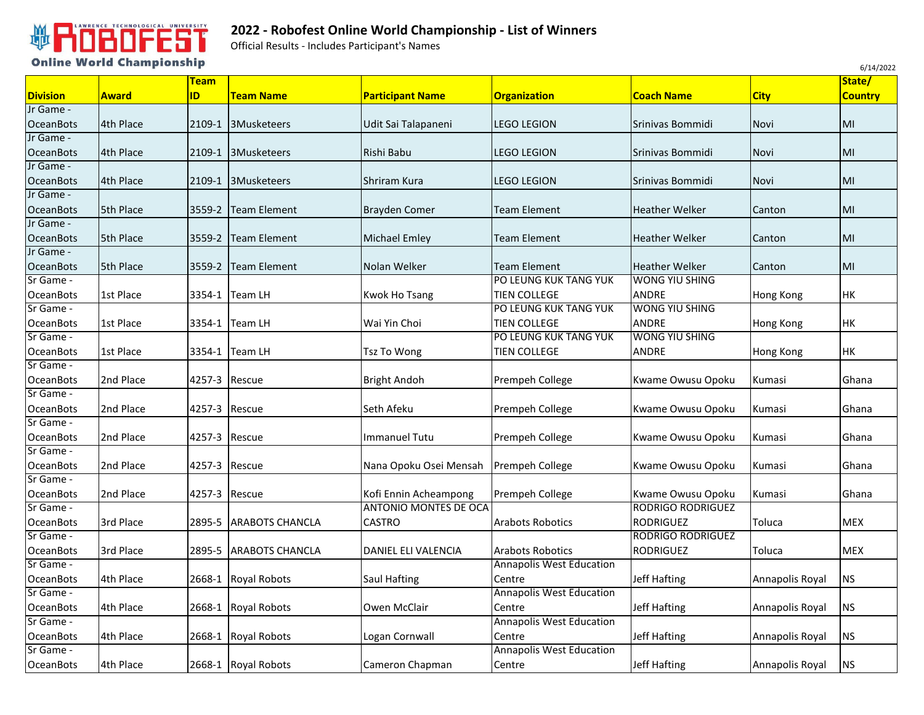

|                  |              | <b>Team</b> |                        |                              |                                 |                          |                 | 6/14/2022<br>State/ |  |
|------------------|--------------|-------------|------------------------|------------------------------|---------------------------------|--------------------------|-----------------|---------------------|--|
| <b>Division</b>  | <b>Award</b> | <b>ID</b>   | Team Name              | <b>Participant Name</b>      | <b>Organization</b>             | Coach Name               | <b>City</b>     | <b>Country</b>      |  |
| Jr Game -        |              |             |                        |                              |                                 |                          |                 |                     |  |
| <b>OceanBots</b> | 4th Place    | 2109-1      | 3Musketeers            | Udit Sai Talapaneni          | <b>LEGO LEGION</b>              | Srinivas Bommidi         | Novi            | MI                  |  |
| Jr Game -        |              |             |                        |                              |                                 |                          |                 |                     |  |
| <b>OceanBots</b> | 4th Place    | 2109-1      | 3Musketeers            | Rishi Babu                   | <b>LEGO LEGION</b>              | Srinivas Bommidi         | Novi            | MI                  |  |
| Jr Game -        |              |             |                        |                              |                                 |                          |                 |                     |  |
| <b>OceanBots</b> | 4th Place    | 2109-1      | 3Musketeers            | Shriram Kura                 | <b>LEGO LEGION</b>              | Srinivas Bommidi         | Novi            | MI                  |  |
| Jr Game -        |              |             |                        |                              |                                 |                          |                 |                     |  |
| <b>OceanBots</b> | 5th Place    | 3559-2      | <b>Team Element</b>    | <b>Brayden Comer</b>         | <b>Team Element</b>             | <b>Heather Welker</b>    | Canton          | MI                  |  |
| Jr Game -        |              |             |                        |                              |                                 |                          |                 |                     |  |
| <b>OceanBots</b> | 5th Place    | 3559-2      | <b>Team Element</b>    | <b>Michael Emley</b>         | <b>Team Element</b>             | <b>Heather Welker</b>    | Canton          | MI                  |  |
| Jr Game -        |              |             |                        |                              |                                 |                          |                 |                     |  |
| OceanBots        | 5th Place    | 3559-2      | <b>Team Element</b>    | Nolan Welker                 | <b>Team Element</b>             | <b>Heather Welker</b>    | Canton          | MI                  |  |
| Sr Game -        |              |             |                        |                              | PO LEUNG KUK TANG YUK           | <b>WONG YIU SHING</b>    |                 |                     |  |
| <b>OceanBots</b> | 1st Place    | 3354-1      | Team LH                | <b>Kwok Ho Tsang</b>         | <b>TIEN COLLEGE</b>             | <b>ANDRE</b>             | Hong Kong       | <b>HK</b>           |  |
| Sr Game -        |              |             |                        |                              | PO LEUNG KUK TANG YUK           | <b>WONG YIU SHING</b>    |                 |                     |  |
| OceanBots        | 1st Place    | 3354-1      | Team LH                | Wai Yin Choi                 | <b>TIEN COLLEGE</b>             | <b>ANDRE</b>             | Hong Kong       | <b>HK</b>           |  |
| Sr Game -        |              |             |                        |                              | PO LEUNG KUK TANG YUK           | <b>WONG YIU SHING</b>    |                 |                     |  |
| OceanBots        | 1st Place    | 3354-1      | <b>Team LH</b>         | Tsz To Wong                  | <b>TIEN COLLEGE</b>             | ANDRE                    | Hong Kong       | HK                  |  |
| Sr Game -        |              |             |                        |                              |                                 |                          |                 |                     |  |
| OceanBots        | 2nd Place    | 4257-3      | Rescue                 | <b>Bright Andoh</b>          | Prempeh College                 | Kwame Owusu Opoku        | Kumasi          | Ghana               |  |
| Sr Game -        |              |             |                        |                              |                                 |                          |                 |                     |  |
| OceanBots        | 2nd Place    | 4257-3      | Rescue                 | Seth Afeku                   | Prempeh College                 | Kwame Owusu Opoku        | Kumasi          | Ghana               |  |
| Sr Game -        |              |             |                        |                              |                                 |                          |                 |                     |  |
| OceanBots        | 2nd Place    | 4257-3      | Rescue                 | <b>Immanuel Tutu</b>         | Prempeh College                 | Kwame Owusu Opoku        | Kumasi          | Ghana               |  |
| Sr Game -        |              |             |                        |                              |                                 |                          |                 |                     |  |
| <b>OceanBots</b> | 2nd Place    | 4257-3      | Rescue                 | Nana Opoku Osei Mensah       | Prempeh College                 | Kwame Owusu Opoku        | Kumasi          | Ghana               |  |
| Sr Game -        |              |             |                        |                              |                                 |                          |                 |                     |  |
| OceanBots        | 2nd Place    | 4257-3      | Rescue                 | Kofi Ennin Acheampong        | Prempeh College                 | Kwame Owusu Opoku        | Kumasi          | Ghana               |  |
| Sr Game -        |              |             |                        | <b>ANTONIO MONTES DE OCA</b> |                                 | <b>RODRIGO RODRIGUEZ</b> |                 |                     |  |
| <b>OceanBots</b> | 3rd Place    | 2895-5      | <b>ARABOTS CHANCLA</b> | <b>CASTRO</b>                | <b>Arabots Robotics</b>         | <b>RODRIGUEZ</b>         | Toluca          | <b>MEX</b>          |  |
| Sr Game -        |              |             |                        |                              |                                 | <b>RODRIGO RODRIGUEZ</b> |                 |                     |  |
| OceanBots        | 3rd Place    | 2895-5      | <b>ARABOTS CHANCLA</b> | DANIEL ELI VALENCIA          | Arabots Robotics                | <b>RODRIGUEZ</b>         | Toluca          | <b>MEX</b>          |  |
| Sr Game -        |              |             |                        |                              | <b>Annapolis West Education</b> |                          |                 |                     |  |
| <b>OceanBots</b> | 4th Place    |             | 2668-1 Royal Robots    | Saul Hafting                 | Centre                          | <b>Jeff Hafting</b>      | Annapolis Royal | <b>NS</b>           |  |
| Sr Game -        |              |             |                        |                              | Annapolis West Education        |                          |                 |                     |  |
| OceanBots        | 4th Place    |             | 2668-1 Royal Robots    | Owen McClair                 | Centre                          | <b>Jeff Hafting</b>      | Annapolis Royal | <b>NS</b>           |  |
| Sr Game -        |              |             |                        |                              | Annapolis West Education        |                          |                 |                     |  |
| OceanBots        | 4th Place    |             | 2668-1 Royal Robots    | Logan Cornwall               | Centre                          | <b>Jeff Hafting</b>      | Annapolis Royal | <b>NS</b>           |  |
| Sr Game -        |              |             |                        |                              | <b>Annapolis West Education</b> |                          |                 |                     |  |
| OceanBots        | 4th Place    |             | 2668-1 Royal Robots    | Cameron Chapman              | Centre                          | Jeff Hafting             | Annapolis Royal | <b>NS</b>           |  |